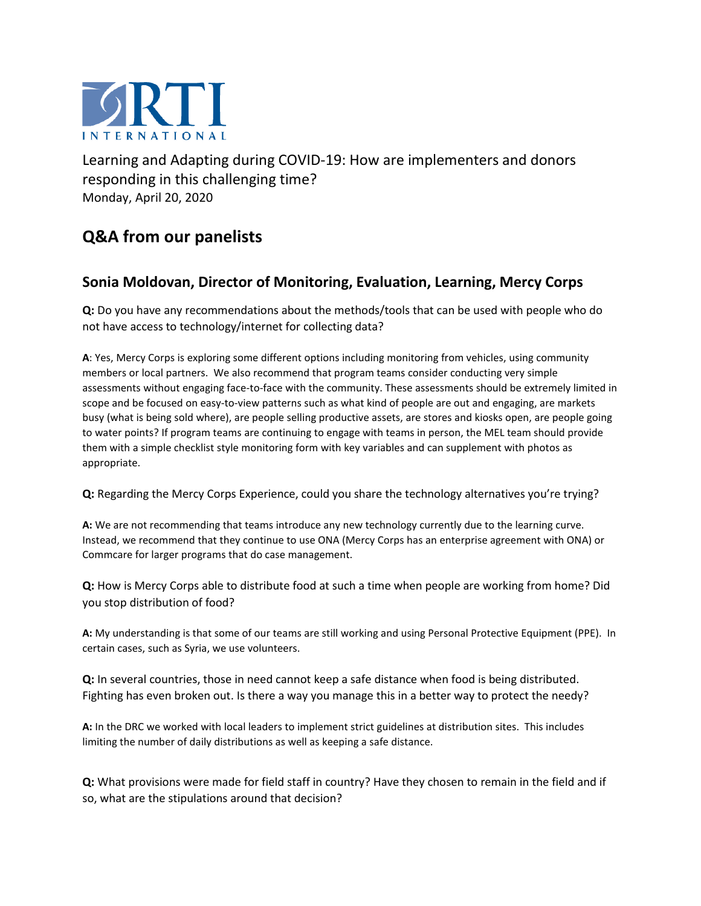

Learning and Adapting during COVID-19: How are implementers and donors responding in this challenging time? Monday, April 20, 2020

## **Q&A from our panelists**

## **Sonia Moldovan, Director of Monitoring, Evaluation, Learning, Mercy Corps**

**Q:** Do you have any recommendations about the methods/tools that can be used with people who do not have access to technology/internet for collecting data?

**A**: Yes, Mercy Corps is exploring some different options including monitoring from vehicles, using community members or local partners. We also recommend that program teams consider conducting very simple assessments without engaging face-to-face with the community. These assessments should be extremely limited in scope and be focused on easy-to-view patterns such as what kind of people are out and engaging, are markets busy (what is being sold where), are people selling productive assets, are stores and kiosks open, are people going to water points? If program teams are continuing to engage with teams in person, the MEL team should provide them with a simple checklist style monitoring form with key variables and can supplement with photos as appropriate.

**Q:** Regarding the Mercy Corps Experience, could you share the technology alternatives you're trying?

**A:** We are not recommending that teams introduce any new technology currently due to the learning curve. Instead, we recommend that they continue to use ONA (Mercy Corps has an enterprise agreement with ONA) or Commcare for larger programs that do case management.

**Q:** How is Mercy Corps able to distribute food at such a time when people are working from home? Did you stop distribution of food?

**A:** My understanding is that some of our teams are still working and using Personal Protective Equipment (PPE). In certain cases, such as Syria, we use volunteers.

**Q:** In several countries, those in need cannot keep a safe distance when food is being distributed. Fighting has even broken out. Is there a way you manage this in a better way to protect the needy?

**A:** In the DRC we worked with local leaders to implement strict guidelines at distribution sites. This includes limiting the number of daily distributions as well as keeping a safe distance.

**Q:** What provisions were made for field staff in country? Have they chosen to remain in the field and if so, what are the stipulations around that decision?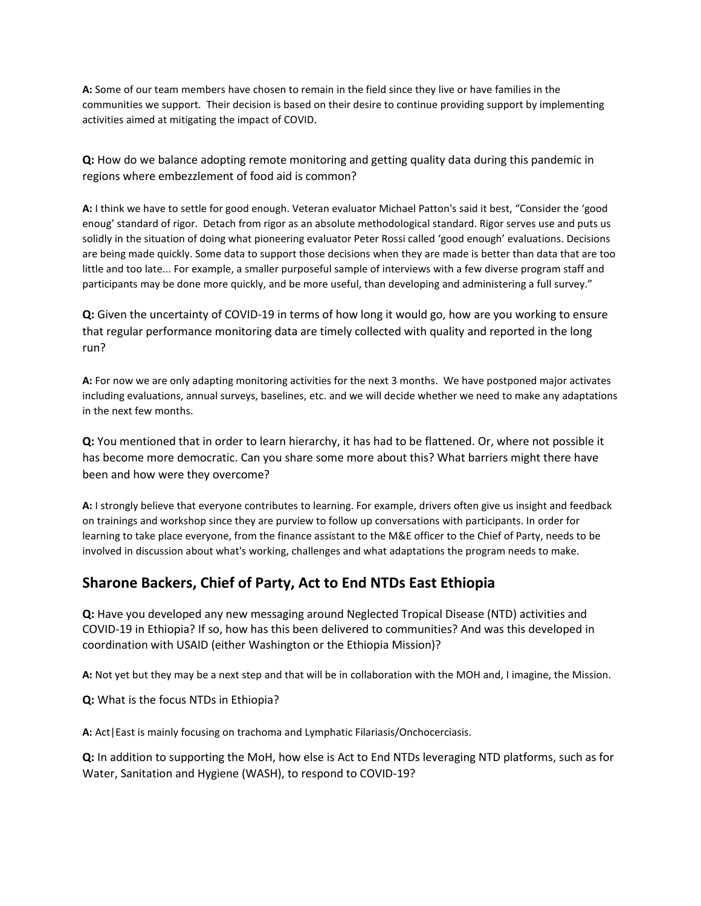**A:** Some of our team members have chosen to remain in the field since they live or have families in the communities we support. Their decision is based on their desire to continue providing support by implementing activities aimed at mitigating the impact of COVID.

**Q:** How do we balance adopting remote monitoring and getting quality data during this pandemic in regions where embezzlement of food aid is common?

**A:** I think we have to settle for good enough. Veteran evaluator Michael Patton's said it best, "Consider the 'good enoug' standard of rigor. Detach from rigor as an absolute methodological standard. Rigor serves use and puts us solidly in the situation of doing what pioneering evaluator Peter Rossi called 'good enough' evaluations. Decisions are being made quickly. Some data to support those decisions when they are made is better than data that are too little and too late... For example, a smaller purposeful sample of interviews with a few diverse program staff and participants may be done more quickly, and be more useful, than developing and administering a full survey."

**Q:** Given the uncertainty of COVID-19 in terms of how long it would go, how are you working to ensure that regular performance monitoring data are timely collected with quality and reported in the long run?

**A:** For now we are only adapting monitoring activities for the next 3 months. We have postponed major activates including evaluations, annual surveys, baselines, etc. and we will decide whether we need to make any adaptations in the next few months.

**Q:** You mentioned that in order to learn hierarchy, it has had to be flattened. Or, where not possible it has become more democratic. Can you share some more about this? What barriers might there have been and how were they overcome?

**A:** I strongly believe that everyone contributes to learning. For example, drivers often give us insight and feedback on trainings and workshop since they are purview to follow up conversations with participants. In order for learning to take place everyone, from the finance assistant to the M&E officer to the Chief of Party, needs to be involved in discussion about what's working, challenges and what adaptations the program needs to make.

## **Sharone Backers, Chief of Party, Act to End NTDs East Ethiopia**

**Q:** Have you developed any new messaging around Neglected Tropical Disease (NTD) activities and COVID-19 in Ethiopia? If so, how has this been delivered to communities? And was this developed in coordination with USAID (either Washington or the Ethiopia Mission)?

**A:** Not yet but they may be a next step and that will be in collaboration with the MOH and, I imagine, the Mission.

**Q:** What is the focus NTDs in Ethiopia?

**A:** Act|East is mainly focusing on trachoma and Lymphatic Filariasis/Onchocerciasis.

**Q:** In addition to supporting the MoH, how else is Act to End NTDs leveraging NTD platforms, such as for Water, Sanitation and Hygiene (WASH), to respond to COVID-19?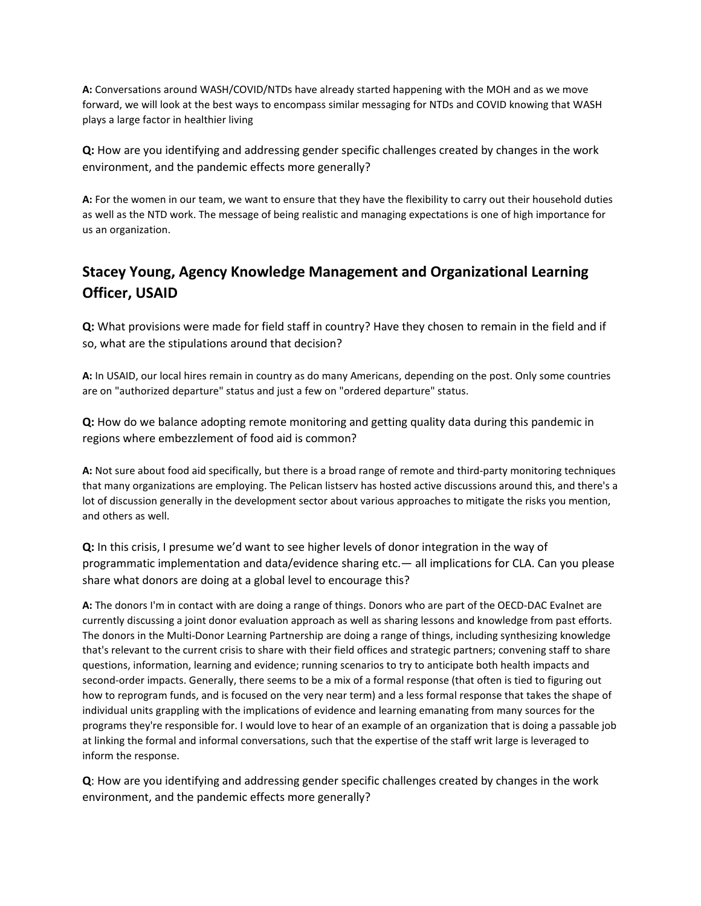**A:** Conversations around WASH/COVID/NTDs have already started happening with the MOH and as we move forward, we will look at the best ways to encompass similar messaging for NTDs and COVID knowing that WASH plays a large factor in healthier living

**Q:** How are you identifying and addressing gender specific challenges created by changes in the work environment, and the pandemic effects more generally?

**A:** For the women in our team, we want to ensure that they have the flexibility to carry out their household duties as well as the NTD work. The message of being realistic and managing expectations is one of high importance for us an organization.

## **Stacey Young, Agency Knowledge Management and Organizational Learning Officer, USAID**

**Q:** What provisions were made for field staff in country? Have they chosen to remain in the field and if so, what are the stipulations around that decision?

**A:** In USAID, our local hires remain in country as do many Americans, depending on the post. Only some countries are on "authorized departure" status and just a few on "ordered departure" status.

**Q:** How do we balance adopting remote monitoring and getting quality data during this pandemic in regions where embezzlement of food aid is common?

**A:** Not sure about food aid specifically, but there is a broad range of remote and third-party monitoring techniques that many organizations are employing. The Pelican listserv has hosted active discussions around this, and there's a lot of discussion generally in the development sector about various approaches to mitigate the risks you mention, and others as well.

**Q:** In this crisis, I presume we'd want to see higher levels of donor integration in the way of programmatic implementation and data/evidence sharing etc.— all implications for CLA. Can you please share what donors are doing at a global level to encourage this?

**A:** The donors I'm in contact with are doing a range of things. Donors who are part of the OECD-DAC Evalnet are currently discussing a joint donor evaluation approach as well as sharing lessons and knowledge from past efforts. The donors in the Multi-Donor Learning Partnership are doing a range of things, including synthesizing knowledge that's relevant to the current crisis to share with their field offices and strategic partners; convening staff to share questions, information, learning and evidence; running scenarios to try to anticipate both health impacts and second-order impacts. Generally, there seems to be a mix of a formal response (that often is tied to figuring out how to reprogram funds, and is focused on the very near term) and a less formal response that takes the shape of individual units grappling with the implications of evidence and learning emanating from many sources for the programs they're responsible for. I would love to hear of an example of an organization that is doing a passable job at linking the formal and informal conversations, such that the expertise of the staff writ large is leveraged to inform the response.

**Q**: How are you identifying and addressing gender specific challenges created by changes in the work environment, and the pandemic effects more generally?